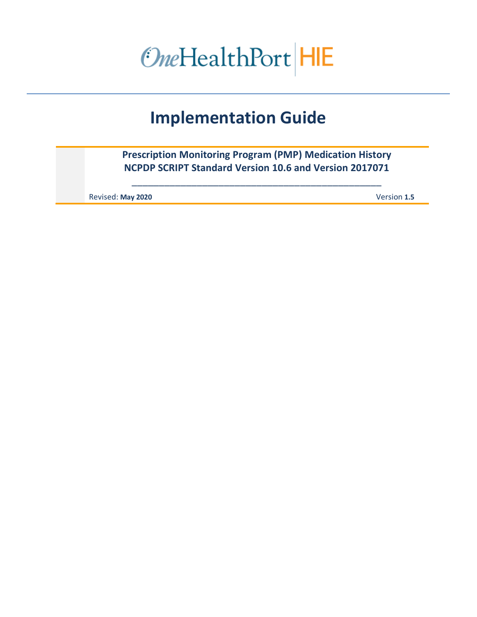OneHealthPort HIE

# **Implementation Guide**

**Prescription Monitoring Program (PMP) Medication History NCPDP SCRIPT Standard Version 10.6 and Version 2017071**

\_\_\_\_\_\_\_\_\_\_\_\_\_\_\_\_\_\_\_\_\_\_\_\_\_\_\_\_\_\_\_\_\_\_\_\_\_\_\_\_\_\_\_\_\_\_

Revised: **May 2020** Version **1.5**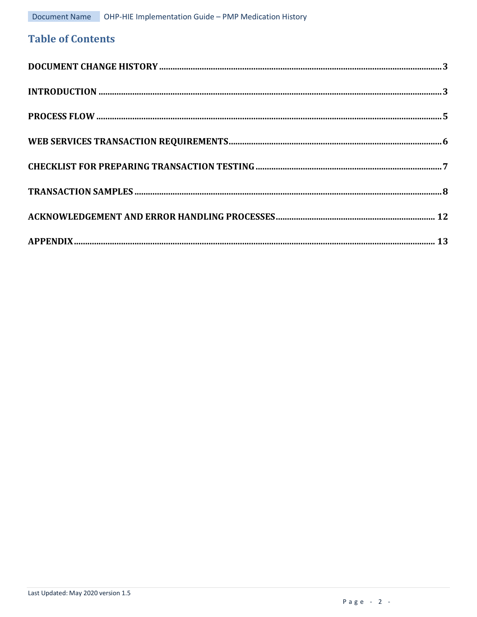# **Table of Contents**

| INTRODUCTION 3 |  |
|----------------|--|
|                |  |
|                |  |
|                |  |
|                |  |
|                |  |
|                |  |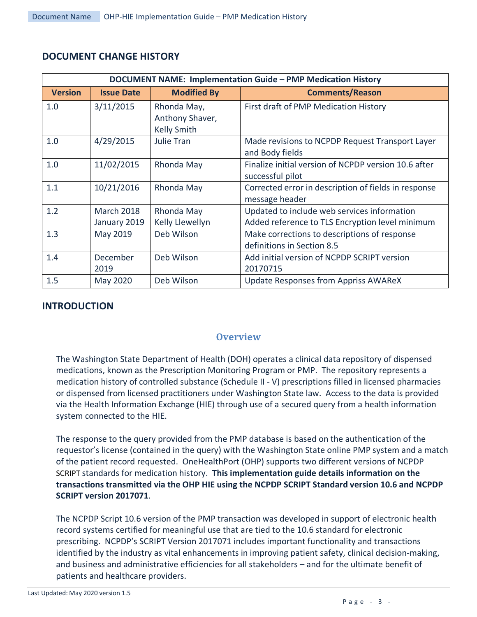|                | DOCUMENT NAME: Implementation Guide - PMP Medication History |                                                      |                                                                                                |  |  |  |
|----------------|--------------------------------------------------------------|------------------------------------------------------|------------------------------------------------------------------------------------------------|--|--|--|
| <b>Version</b> | <b>Issue Date</b>                                            | <b>Modified By</b>                                   | <b>Comments/Reason</b>                                                                         |  |  |  |
| 1.0            | 3/11/2015                                                    | Rhonda May,<br>Anthony Shaver,<br><b>Kelly Smith</b> | First draft of PMP Medication History                                                          |  |  |  |
| 1.0            | 4/29/2015                                                    | <b>Julie Tran</b>                                    | Made revisions to NCPDP Request Transport Layer<br>and Body fields                             |  |  |  |
| 1.0            | 11/02/2015                                                   | Rhonda May                                           | Finalize initial version of NCPDP version 10.6 after<br>successful pilot                       |  |  |  |
| 1.1            | 10/21/2016                                                   | Rhonda May                                           | Corrected error in description of fields in response<br>message header                         |  |  |  |
| 1.2            | <b>March 2018</b><br>January 2019                            | Rhonda May<br>Kelly Llewellyn                        | Updated to include web services information<br>Added reference to TLS Encryption level minimum |  |  |  |
| 1.3            | May 2019                                                     | Deb Wilson                                           | Make corrections to descriptions of response<br>definitions in Section 8.5                     |  |  |  |
| 1.4            | December<br>2019                                             | Deb Wilson                                           | Add initial version of NCPDP SCRIPT version<br>20170715                                        |  |  |  |
| 1.5            | May 2020                                                     | Deb Wilson                                           | <b>Update Responses from Appriss AWAReX</b>                                                    |  |  |  |

## <span id="page-2-0"></span>**DOCUMENT CHANGE HISTORY**

## <span id="page-2-1"></span>**INTRODUCTION**

#### **Overview**

The Washington State Department of Health (DOH) operates a clinical data repository of dispensed medications, known as the Prescription Monitoring Program or PMP. The repository represents a medication history of controlled substance (Schedule II - V) prescriptions filled in licensed pharmacies or dispensed from licensed practitioners under Washington State law. Access to the data is provided via the Health Information Exchange (HIE) through use of a secured query from a health information system connected to the HIE.

The response to the query provided from the PMP database is based on the authentication of the requestor's license (contained in the query) with the Washington State online PMP system and a match of the patient record requested. OneHealthPort (OHP) supports two different versions of NCPDP SCRIPT standards for medication history. **This implementation guide details information on the transactions transmitted via the OHP HIE using the NCPDP SCRIPT Standard version 10.6 and NCPDP SCRIPT version 2017071**.

The NCPDP Script 10.6 version of the PMP transaction was developed in support of electronic health record systems certified for meaningful use that are tied to the 10.6 standard for electronic prescribing. NCPDP's SCRIPT Version 2017071 includes important functionality and transactions identified by the industry as vital enhancements in improving patient safety, clinical decision-making, and business and administrative efficiencies for all stakeholders – and for the ultimate benefit of patients and healthcare providers.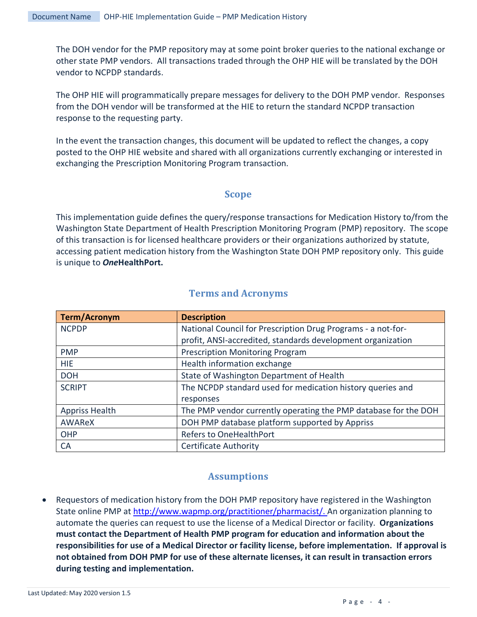The DOH vendor for the PMP repository may at some point broker queries to the national exchange or other state PMP vendors. All transactions traded through the OHP HIE will be translated by the DOH vendor to NCPDP standards.

The OHP HIE will programmatically prepare messages for delivery to the DOH PMP vendor. Responses from the DOH vendor will be transformed at the HIE to return the standard NCPDP transaction response to the requesting party.

In the event the transaction changes, this document will be updated to reflect the changes, a copy posted to the OHP HIE website and shared with all organizations currently exchanging or interested in exchanging the Prescription Monitoring Program transaction.

#### **Scope**

This implementation guide defines the query/response transactions for Medication History to/from the Washington State Department of Health Prescription Monitoring Program (PMP) repository. The scope of this transaction is for licensed healthcare providers or their organizations authorized by statute, accessing patient medication history from the Washington State DOH PMP repository only. This guide is unique to *One***HealthPort.**

|  |  | <b>Terms and Acronyms</b> |
|--|--|---------------------------|
|--|--|---------------------------|

| <b>Term/Acronym</b>   | <b>Description</b>                                              |  |
|-----------------------|-----------------------------------------------------------------|--|
| <b>NCPDP</b>          | National Council for Prescription Drug Programs - a not-for-    |  |
|                       | profit, ANSI-accredited, standards development organization     |  |
| <b>PMP</b>            | <b>Prescription Monitoring Program</b>                          |  |
| <b>HIE</b>            | Health information exchange                                     |  |
| <b>DOH</b>            | State of Washington Department of Health                        |  |
| <b>SCRIPT</b>         | The NCPDP standard used for medication history queries and      |  |
|                       | responses                                                       |  |
| <b>Appriss Health</b> | The PMP vendor currently operating the PMP database for the DOH |  |
| AWAReX                | DOH PMP database platform supported by Appriss                  |  |
| OHP                   | <b>Refers to OneHealthPort</b>                                  |  |
| <b>CA</b>             | <b>Certificate Authority</b>                                    |  |

#### **Assumptions**

• Requestors of medication history from the DOH PMP repository have registered in the Washington State online PMP at [http://www.wapmp.org/practitioner/pharmacist/.](http://www.wapmp.org/practitioner/pharmacist/) An organization planning to automate the queries can request to use the license of a Medical Director or facility. **Organizations must contact the Department of Health PMP program for education and information about the responsibilities for use of a Medical Director or facility license, before implementation. If approval is not obtained from DOH PMP for use of these alternate licenses, it can result in transaction errors during testing and implementation.**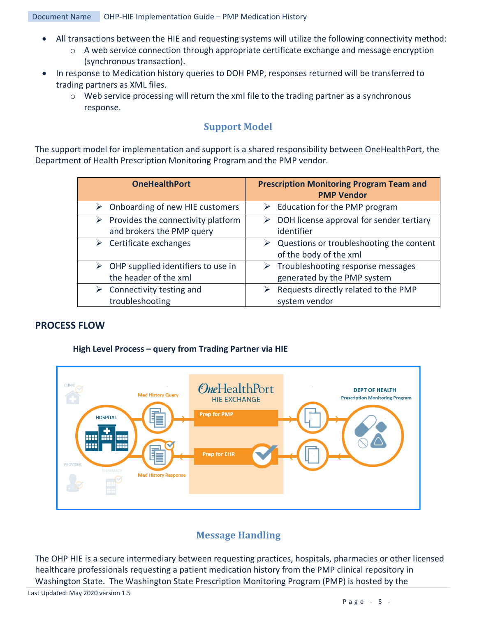- All transactions between the HIE and requesting systems will utilize the following connectivity method:
	- o A web service connection through appropriate certificate exchange and message encryption (synchronous transaction).
- In response to Medication history queries to DOH PMP, responses returned will be transferred to trading partners as XML files.
	- $\circ$  Web service processing will return the xml file to the trading partner as a synchronous response.

## **Support Model**

The support model for implementation and support is a shared responsibility between OneHealthPort, the Department of Health Prescription Monitoring Program and the PMP vendor.

| <b>OneHealthPort</b>                                | <b>Prescription Monitoring Program Team and</b><br><b>PMP Vendor</b>    |
|-----------------------------------------------------|-------------------------------------------------------------------------|
| Onboarding of new HIE customers                     | Education for the PMP program                                           |
| ➤                                                   | ➤                                                                       |
| Provides the connectivity platform                  | DOH license approval for sender tertiary                                |
| ➤                                                   | ➤                                                                       |
| and brokers the PMP query                           | identifier                                                              |
| Certificate exchanges<br>➤                          | Questions or troubleshooting the content<br>➤<br>of the body of the xml |
| $\triangleright$ OHP supplied identifiers to use in | $\triangleright$ Troubleshooting response messages                      |
| the header of the xml                               | generated by the PMP system                                             |
| Connectivity testing and                            | Requests directly related to the PMP                                    |
| troubleshooting                                     | system vendor                                                           |

#### <span id="page-4-0"></span>**PROCESS FLOW**

#### **High Level Process – query from Trading Partner via HIE**



## **Message Handling**

The OHP HIE is a secure intermediary between requesting practices, hospitals, pharmacies or other licensed healthcare professionals requesting a patient medication history from the PMP clinical repository in Washington State. The Washington State Prescription Monitoring Program (PMP) is hosted by the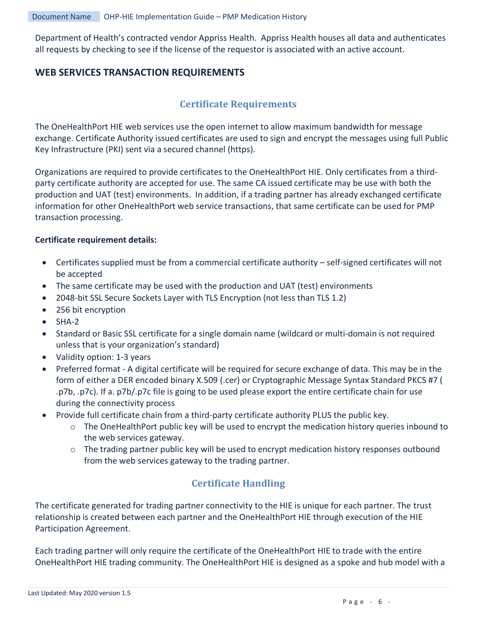Department of Health's contracted vendor Appriss Health. Appriss Health houses all data and authenticates all requests by checking to see if the license of the requestor is associated with an active account.

## <span id="page-5-0"></span>**WEB SERVICES TRANSACTION REQUIREMENTS**

## **Certificate Requirements**

The OneHealthPort HIE web services use the open internet to allow maximum bandwidth for message exchange. Certificate Authority issued certificates are used to sign and encrypt the messages using full Public Key Infrastructure (PKI) sent via a secured channel (https).

Organizations are required to provide certificates to the OneHealthPort HIE. Only certificates from a thirdparty certificate authority are accepted for use. The same CA issued certificate may be use with both the production and UAT (test) environments. In addition, if a trading partner has already exchanged certificate information for other OneHealthPort web service transactions, that same certificate can be used for PMP transaction processing.

#### **Certificate requirement details:**

- Certificates supplied must be from a commercial certificate authority self-signed certificates will not be accepted
- The same certificate may be used with the production and UAT (test) environments
- 2048-bit SSL Secure Sockets Layer with TLS Encryption (not less than TLS 1.2)
- 256 bit encryption
- $\bullet$  SHA-2
- Standard or Basic SSL certificate for a single domain name (wildcard or multi-domain is not required unless that is your organization's standard)
- Validity option: 1-3 years
- Preferred format A digital certificate will be required for secure exchange of data. This may be in the form of either a DER encoded binary X.509 (.cer) or Cryptographic Message Syntax Standard PKCS #7 ( .p7b, .p7c). If a. p7b/.p7c file is going to be used please export the entire certificate chain for use during the connectivity process
- Provide full certificate chain from a third-party certificate authority PLUS the public key.
	- $\circ$  The OneHealthPort public key will be used to encrypt the medication history queries inbound to the web services gateway.
	- o The trading partner public key will be used to encrypt medication history responses outbound from the web services gateway to the trading partner.

# **Certificate Handling**

The certificate generated for trading partner connectivity to the HIE is unique for each partner. The trust relationship is created between each partner and the OneHealthPort HIE through execution of the HIE Participation Agreement.

Each trading partner will only require the certificate of the OneHealthPort HIE to trade with the entire OneHealthPort HIE trading community. The OneHealthPort HIE is designed as a spoke and hub model with a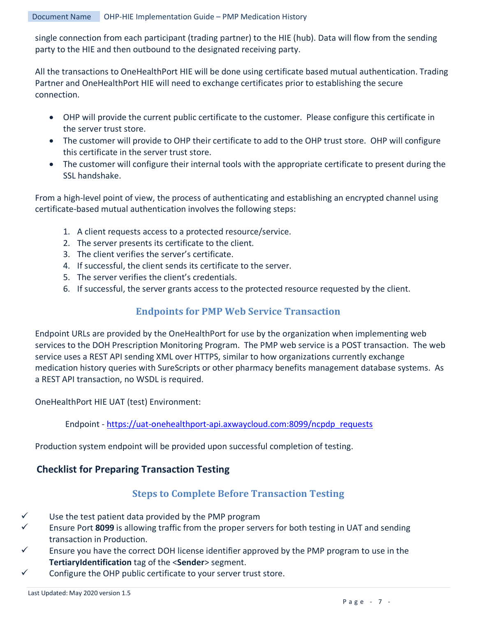single connection from each participant (trading partner) to the HIE (hub). Data will flow from the sending party to the HIE and then outbound to the designated receiving party.

All the transactions to OneHealthPort HIE will be done using certificate based mutual authentication. Trading Partner and OneHealthPort HIE will need to exchange certificates prior to establishing the secure connection.

- OHP will provide the current public certificate to the customer. Please configure this certificate in the server trust store.
- The customer will provide to OHP their certificate to add to the OHP trust store. OHP will configure this certificate in the server trust store.
- The customer will configure their internal tools with the appropriate certificate to present during the SSL handshake.

From a high-level point of view, the process of authenticating and establishing an encrypted channel using certificate-based mutual authentication involves the following steps:

- 1. A client requests access to a protected resource/service.
- 2. The server presents its certificate to the client.
- 3. The client verifies the server's certificate.
- 4. If successful, the client sends its certificate to the server.
- 5. The server verifies the client's credentials.
- 6. If successful, the server grants access to the protected resource requested by the client.

## **Endpoints for PMP Web Service Transaction**

Endpoint URLs are provided by the OneHealthPort for use by the organization when implementing web services to the DOH Prescription Monitoring Program. The PMP web service is a POST transaction. The web service uses a REST API sending XML over HTTPS, similar to how organizations currently exchange medication history queries with SureScripts or other pharmacy benefits management database systems. As a REST API transaction, no WSDL is required.

OneHealthPort HIE UAT (test) Environment:

Endpoint - [https://uat-onehealthport-api.axwaycloud.com:8099/ncpdp\\_requests](https://uat-onehealthport-api.axwaycloud.com:8099/ncpdp_requests)

Production system endpoint will be provided upon successful completion of testing.

## <span id="page-6-0"></span>**Checklist for Preparing Transaction Testing**

## **Steps to Complete Before Transaction Testing**

- $\checkmark$  Use the test patient data provided by the PMP program
- Ensure Port **8099** is allowing traffic from the proper servers for both testing in UAT and sending transaction in Production.
- $\checkmark$  Ensure you have the correct DOH license identifier approved by the PMP program to use in the **TertiaryIdentification** tag of the <**Sender**> segment.
- $\checkmark$  Configure the OHP public certificate to your server trust store.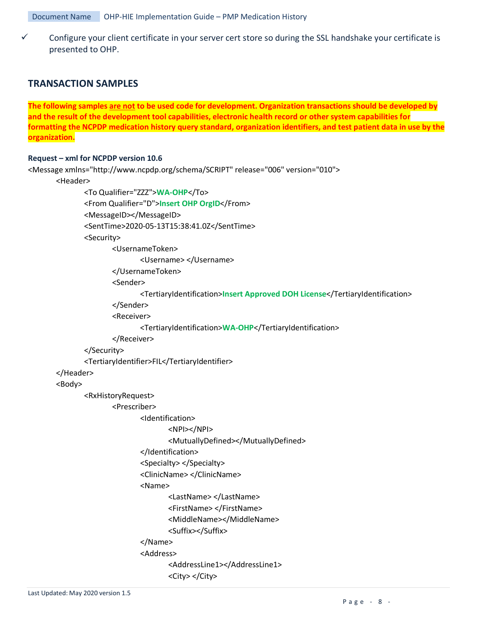Configure your client certificate in your server cert store so during the SSL handshake your certificate is presented to OHP.

#### <span id="page-7-0"></span>**TRANSACTION SAMPLES**

**The following samples are not to be used code for development. Organization transactions should be developed by and the result of the development tool capabilities, electronic health record or other system capabilities for formatting the NCPDP medication history query standard, organization identifiers, and test patient data in use by the organization.**

#### **Request – xml for NCPDP version 10.6**

```
<Message xmlns="http://www.ncpdp.org/schema/SCRIPT" release="006" version="010">
       <Header>
              <To Qualifier="ZZZ">WA-OHP</To>
              <From Qualifier="D">Insert OHP OrgID</From>
              <MessageID></MessageID>
              <SentTime>2020-05-13T15:38:41.0Z</SentTime>
              <Security>
                      <UsernameToken>
                             <Username> </Username>
                      </UsernameToken>
                      <Sender>
                             <TertiaryIdentification>Insert Approved DOH License</TertiaryIdentification>
                      </Sender>
                      <Receiver>
                             <TertiaryIdentification>WA-OHP</TertiaryIdentification>
                      </Receiver>
              </Security>
              <TertiaryIdentifier>FIL</TertiaryIdentifier>
       </Header>
       <Body>
              <RxHistoryRequest>
                      <Prescriber>
                             <Identification>
                                     <NPI></NPI>
                                     <MutuallyDefined></MutuallyDefined>
                             </Identification>
                             <Specialty> </Specialty>
                             <ClinicName> </ClinicName>
                             <Name>
                                     <LastName> </LastName>
                                     <FirstName> </FirstName>
                                     <MiddleName></MiddleName>
                                     <Suffix></Suffix>
                             </Name>
                             <Address>
                                     <AddressLine1></AddressLine1>
                                     <City> </City>
```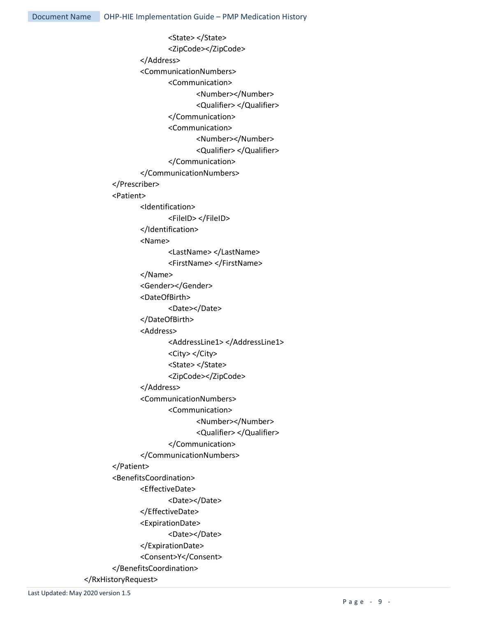<State> </State> <ZipCode></ZipCode> </Address> <CommunicationNumbers> <Communication> <Number></Number> <Qualifier> </Qualifier> </Communication> <Communication> <Number></Number> <Qualifier> </Qualifier> </Communication> </CommunicationNumbers> </Prescriber> <Patient> <Identification> <FileID> </FileID> </Identification> <Name> <LastName> </LastName> <FirstName> </FirstName> </Name> <Gender></Gender> <DateOfBirth> <Date></Date> </DateOfBirth> <Address> <AddressLine1> </AddressLine1> <City> </City> <State> </State> <ZipCode></ZipCode> </Address> <CommunicationNumbers> <Communication> <Number></Number> <Qualifier> </Qualifier> </Communication> </CommunicationNumbers> </Patient> <BenefitsCoordination> <EffectiveDate> <Date></Date> </EffectiveDate> <ExpirationDate> <Date></Date> </ExpirationDate> <Consent>Y</Consent> </BenefitsCoordination> </RxHistoryRequest>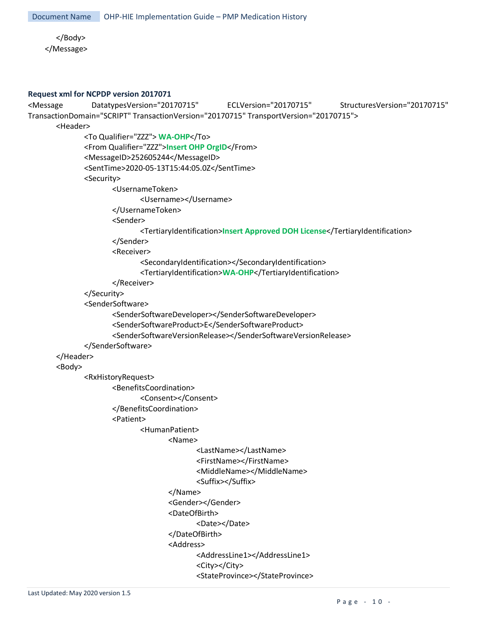</Body> </Message>

#### **Request xml for NCPDP version 2017071**

```
<Message DatatypesVersion="20170715" ECLVersion="20170715" StructuresVersion="20170715" 
TransactionDomain="SCRIPT" TransactionVersion="20170715" TransportVersion="20170715">
       <Header>
              <To Qualifier="ZZZ"> WA-OHP</To>
              <From Qualifier="ZZZ">Insert OHP OrgID</From>
              <MessageID>252605244</MessageID>
              <SentTime>2020-05-13T15:44:05.0Z</SentTime>
              <Security>
                     <UsernameToken>
                            <Username></Username>
                     </UsernameToken>
                     <Sender>
                            <TertiaryIdentification>Insert Approved DOH License</TertiaryIdentification>
                     </Sender>
                     <Receiver>
                            <SecondaryIdentification></SecondaryIdentification>
                            <TertiaryIdentification>WA-OHP</TertiaryIdentification>
                     </Receiver>
              </Security>
              <SenderSoftware>
                     <SenderSoftwareDeveloper></SenderSoftwareDeveloper>
                     <SenderSoftwareProduct>E</SenderSoftwareProduct>
                     <SenderSoftwareVersionRelease></SenderSoftwareVersionRelease>
              </SenderSoftware>
       </Header>
       <Body>
              <RxHistoryRequest>
                     <BenefitsCoordination>
                            <Consent></Consent>
                     </BenefitsCoordination>
                     <Patient>
                            <HumanPatient>
                                   <Name>
                                          <LastName></LastName>
                                          <FirstName></FirstName>
                                          <MiddleName></MiddleName>
                                          <Suffix></Suffix>
                                   </Name>
                                   <Gender></Gender>
                                   <DateOfBirth>
                                          <Date></Date>
                                   </DateOfBirth>
                                   <Address>
                                          <AddressLine1></AddressLine1>
                                          <City></City>
                                          <StateProvince></StateProvince>
```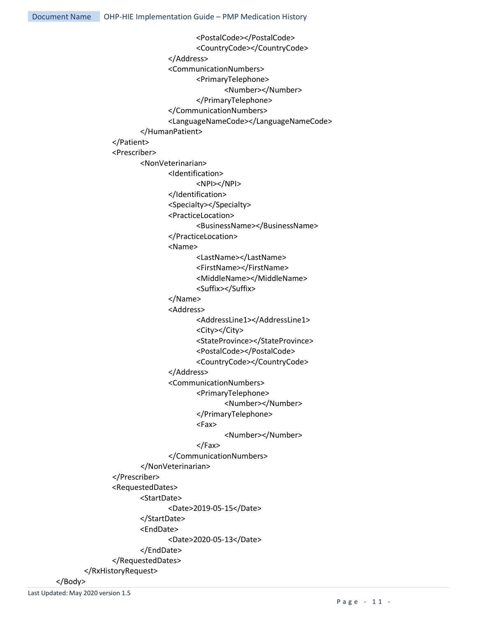<PostalCode></PostalCode> <CountryCode></CountryCode> </Address> <CommunicationNumbers> <PrimaryTelephone> <Number></Number> </PrimaryTelephone> </CommunicationNumbers> <LanguageNameCode></LanguageNameCode> </HumanPatient> </Patient> <Prescriber> <NonVeterinarian> <Identification> <NPI></NPI> </Identification> <Specialty></Specialty> <PracticeLocation> <BusinessName></BusinessName> </PracticeLocation> <Name> <LastName></LastName> <FirstName></FirstName> <MiddleName></MiddleName> <Suffix></Suffix> </Name> <Address> <AddressLine1></AddressLine1> <City></City> <StateProvince></StateProvince> <PostalCode></PostalCode> <CountryCode></CountryCode> </Address> <CommunicationNumbers> <PrimaryTelephone> <Number></Number> </PrimaryTelephone> <Fax> <Number></Number> </Fax> </CommunicationNumbers> </NonVeterinarian> </Prescriber> <RequestedDates> <StartDate> <Date>2019-05-15</Date> </StartDate> <EndDate> <Date>2020-05-13</Date> </EndDate> </RequestedDates> </RxHistoryRequest>

</Body>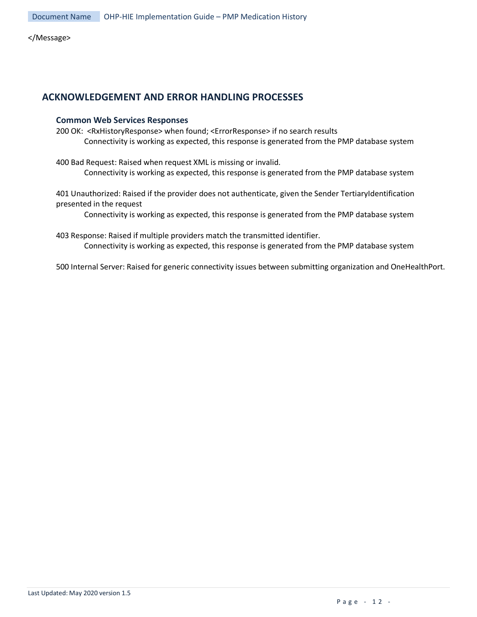</Message>

#### <span id="page-11-0"></span>**ACKNOWLEDGEMENT AND ERROR HANDLING PROCESSES**

#### **Common Web Services Responses**

200 OK: <RxHistoryResponse> when found; <ErrorResponse> if no search results Connectivity is working as expected, this response is generated from the PMP database system

400 Bad Request: Raised when request XML is missing or invalid. Connectivity is working as expected, this response is generated from the PMP database system

401 Unauthorized: Raised if the provider does not authenticate, given the Sender TertiaryIdentification presented in the request

Connectivity is working as expected, this response is generated from the PMP database system

403 Response: Raised if multiple providers match the transmitted identifier. Connectivity is working as expected, this response is generated from the PMP database system

500 Internal Server: Raised for generic connectivity issues between submitting organization and OneHealthPort.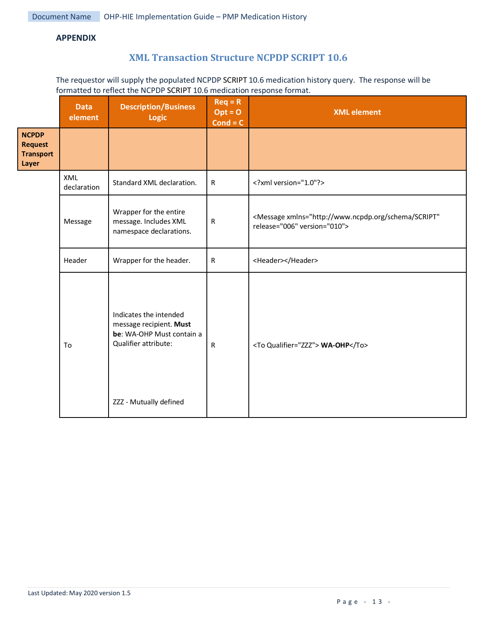#### <span id="page-12-0"></span>**APPENDIX**

## **XML Transaction Structure NCPDP SCRIPT 10.6**

The requestor will supply the populated NCPDP SCRIPT 10.6 medication history query. The response will be formatted to reflect the NCPDP SCRIPT 10.6 medication response format.

|                                                             | <b>Data</b><br>element | <b>Description/Business</b><br>Logic                                                                                             | $Req = R$<br>$Opt = 0$<br>$Cond = C$ | <b>XML</b> element                                                                                   |
|-------------------------------------------------------------|------------------------|----------------------------------------------------------------------------------------------------------------------------------|--------------------------------------|------------------------------------------------------------------------------------------------------|
| <b>NCPDP</b><br><b>Request</b><br><b>Transport</b><br>Layer |                        |                                                                                                                                  |                                      |                                                                                                      |
|                                                             | XML<br>declaration     | Standard XML declaration.                                                                                                        | $\mathsf{R}$                         | xml version="1.0"?                                                                                   |
|                                                             | Message                | Wrapper for the entire<br>message. Includes XML<br>namespace declarations.                                                       | $\mathsf{R}$                         | <message <br="" xmlns="http://www.ncpdp.org/schema/SCRIPT">release="006" version="010"&gt;</message> |
|                                                             | Header                 | Wrapper for the header.                                                                                                          | ${\sf R}$                            | <header></header>                                                                                    |
|                                                             | To                     | Indicates the intended<br>message recipient. Must<br>be: WA-OHP Must contain a<br>Qualifier attribute:<br>ZZZ - Mutually defined | $\mathsf{R}$                         | <to qualifier="ZZZ"> WA-OHP</to>                                                                     |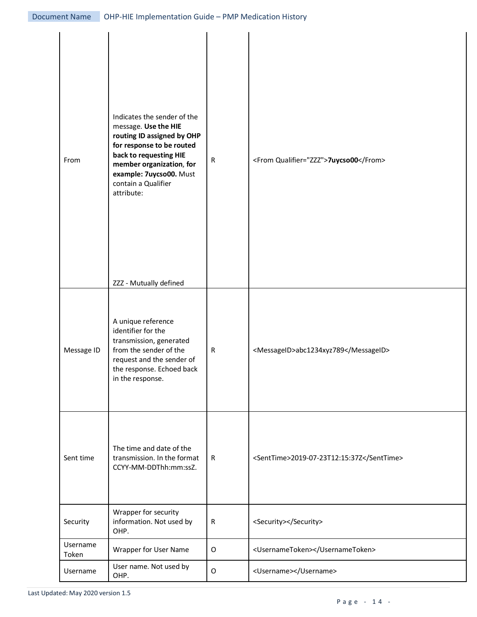| From              | Indicates the sender of the<br>message. Use the HIE<br>routing ID assigned by OHP<br>for response to be routed<br>back to requesting HIE<br>member organization, for<br>example: 7uycso00. Must<br>contain a Qualifier<br>attribute:<br>ZZZ - Mutually defined | ${\sf R}$   | <from qualifier="ZZZ">7uycso00</from>     |
|-------------------|----------------------------------------------------------------------------------------------------------------------------------------------------------------------------------------------------------------------------------------------------------------|-------------|-------------------------------------------|
| Message ID        | A unique reference<br>identifier for the<br>transmission, generated<br>from the sender of the<br>request and the sender of<br>the response. Echoed back<br>in the response.                                                                                    | ${\sf R}$   | <messageid>abc1234xyz789</messageid>      |
| Sent time         | The time and date of the<br>transmission. In the format<br>CCYY-MM-DDThh:mm:ssZ.                                                                                                                                                                               | R           | <senttime>2019-07-23T12:15:37Z</senttime> |
| Security          | Wrapper for security<br>information. Not used by<br>OHP.                                                                                                                                                                                                       | $\mathsf R$ | <security></security>                     |
| Username<br>Token | Wrapper for User Name                                                                                                                                                                                                                                          | $\mathsf O$ | <usernametoken></usernametoken>           |
| Username          | User name. Not used by<br>OHP.                                                                                                                                                                                                                                 | $\mathsf O$ | <username></username>                     |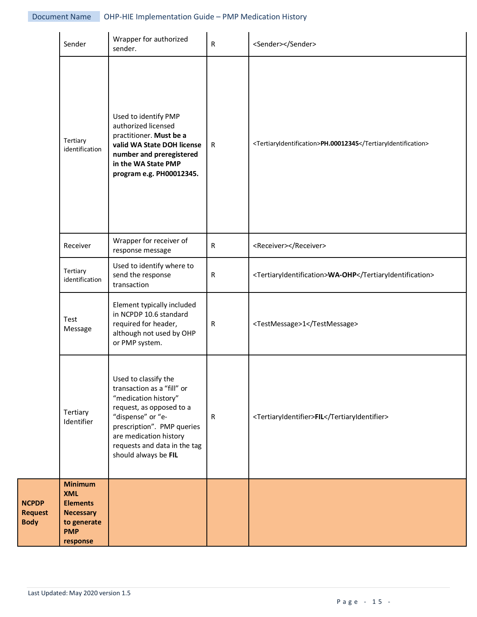|                                               | Sender                                                                                                       | Wrapper for authorized<br>sender.                                                                                                                                                                                                           | R            | <sender></sender>                                            |
|-----------------------------------------------|--------------------------------------------------------------------------------------------------------------|---------------------------------------------------------------------------------------------------------------------------------------------------------------------------------------------------------------------------------------------|--------------|--------------------------------------------------------------|
|                                               | Tertiary<br>identification                                                                                   | Used to identify PMP<br>authorized licensed<br>practitioner. Must be a<br>valid WA State DOH license<br>number and preregistered<br>in the WA State PMP<br>program e.g. PH00012345.                                                         | $\mathsf{R}$ | <tertiaryidentification>PH.00012345</tertiaryidentification> |
|                                               | Receiver                                                                                                     | Wrapper for receiver of<br>response message                                                                                                                                                                                                 | $\mathsf{R}$ | <receiver></receiver>                                        |
|                                               | Tertiary<br>identification                                                                                   | Used to identify where to<br>send the response<br>transaction                                                                                                                                                                               | R            | <tertiaryidentification>WA-OHP</tertiaryidentification>      |
|                                               | Test<br>Message                                                                                              | Element typically included<br>in NCPDP 10.6 standard<br>required for header,<br>although not used by OHP<br>or PMP system.                                                                                                                  | R            | <testmessage>1</testmessage>                                 |
|                                               | Tertiary<br>Identifier                                                                                       | Used to classify the<br>transaction as a "fill" or<br>"medication history"<br>request, as opposed to a<br>"dispense" or "e-<br>prescription". PMP queries<br>are medication history<br>requests and data in the tag<br>should always be FIL | ${\sf R}$    | <tertiaryidentifier>FIL</tertiaryidentifier>                 |
| <b>NCPDP</b><br><b>Request</b><br><b>Body</b> | <b>Minimum</b><br><b>XML</b><br><b>Elements</b><br><b>Necessary</b><br>to generate<br><b>PMP</b><br>response |                                                                                                                                                                                                                                             |              |                                                              |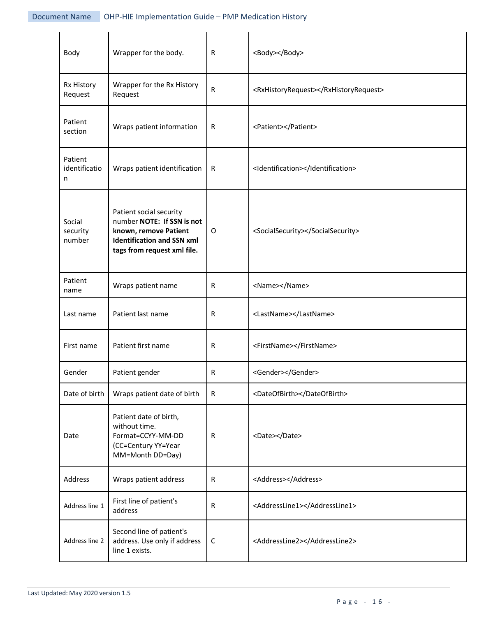| Body                          | Wrapper for the body.                                                                                                                              | R            | <body></body>                         |
|-------------------------------|----------------------------------------------------------------------------------------------------------------------------------------------------|--------------|---------------------------------------|
| Rx History<br>Request         | Wrapper for the Rx History<br>Request                                                                                                              | $\mathsf{R}$ | <rxhistoryrequest></rxhistoryrequest> |
| Patient<br>section            | Wraps patient information                                                                                                                          | $\mathsf{R}$ | <patient></patient>                   |
| Patient<br>identificatio<br>n | Wraps patient identification                                                                                                                       | R            | <identification></identification>     |
| Social<br>security<br>number  | Patient social security<br>number NOTE: If SSN is not<br>known, remove Patient<br><b>Identification and SSN xml</b><br>tags from request xml file. | 0            | <socialsecurity></socialsecurity>     |
| Patient<br>name               | Wraps patient name                                                                                                                                 | $\mathsf{R}$ | <name></name>                         |
| Last name                     | Patient last name                                                                                                                                  | $\mathsf{R}$ | <lastname></lastname>                 |
| First name                    | Patient first name                                                                                                                                 | R            | <firstname></firstname>               |
| Gender                        | Patient gender                                                                                                                                     | $\mathsf{R}$ | <gender></gender>                     |
| Date of birth                 | Wraps patient date of birth                                                                                                                        | $\mathsf{R}$ | <dateofbirth></dateofbirth>           |
| Date                          | Patient date of birth,<br>without time.<br>Format=CCYY-MM-DD<br>(CC=Century YY=Year<br>MM=Month DD=Day)                                            | $\mathsf{R}$ | <date></date>                         |
| Address                       | Wraps patient address                                                                                                                              | $\mathsf{R}$ | <address></address>                   |
| Address line 1                | First line of patient's<br>address                                                                                                                 | $\mathsf{R}$ | <addressline1></addressline1>         |
| Address line 2                | Second line of patient's<br>address. Use only if address<br>line 1 exists.                                                                         | $\mathsf C$  | <addressline2></addressline2>         |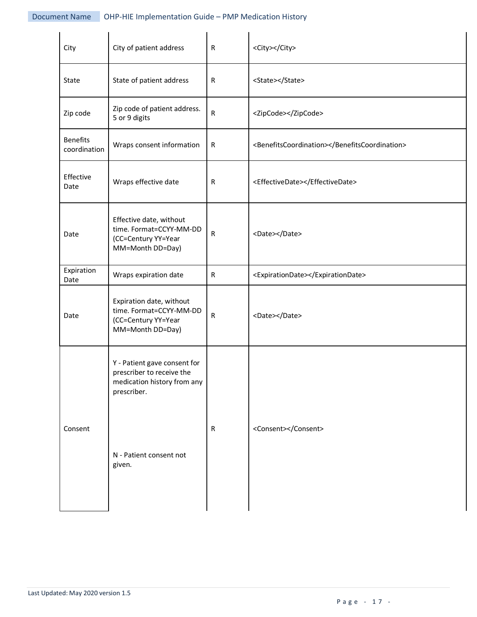| City                            | City of patient address                                                                                                                      | R            | <city></city>                                 |
|---------------------------------|----------------------------------------------------------------------------------------------------------------------------------------------|--------------|-----------------------------------------------|
| State                           | State of patient address                                                                                                                     | R            | <state></state>                               |
| Zip code                        | Zip code of patient address.<br>5 or 9 digits                                                                                                | ${\sf R}$    | <zipcode></zipcode>                           |
| <b>Benefits</b><br>coordination | Wraps consent information                                                                                                                    | ${\sf R}$    | <benefitscoordination></benefitscoordination> |
| Effective<br>Date               | Wraps effective date                                                                                                                         | R            | <effectivedate></effectivedate>               |
| Date                            | Effective date, without<br>time. Format=CCYY-MM-DD<br>(CC=Century YY=Year<br>MM=Month DD=Day)                                                | ${\sf R}$    | <date></date>                                 |
| Expiration<br>Date              | Wraps expiration date                                                                                                                        | ${\sf R}$    | <expirationdate></expirationdate>             |
| Date                            | Expiration date, without<br>time. Format=CCYY-MM-DD<br>(CC=Century YY=Year<br>MM=Month DD=Day)                                               | ${\sf R}$    | <date></date>                                 |
| Consent                         | Y - Patient gave consent for<br>prescriber to receive the<br>medication history from any<br>prescriber.<br>N - Patient consent not<br>given. | $\mathsf{R}$ | <consent></consent>                           |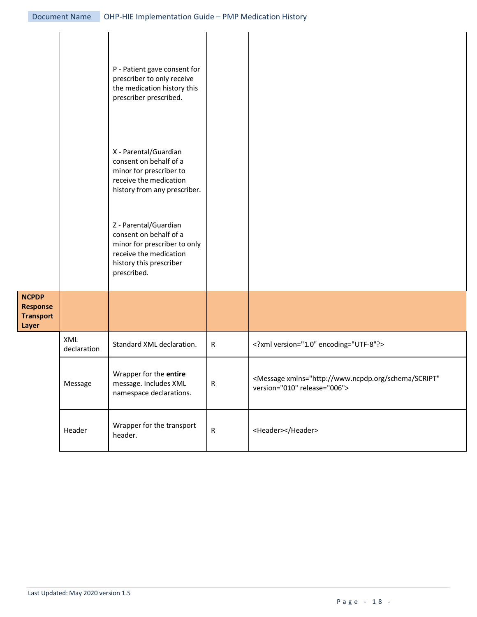|                                                              |                    | P - Patient gave consent for<br>prescriber to only receive<br>the medication history this<br>prescriber prescribed.                                 |           |                                                                                                      |
|--------------------------------------------------------------|--------------------|-----------------------------------------------------------------------------------------------------------------------------------------------------|-----------|------------------------------------------------------------------------------------------------------|
|                                                              |                    | X - Parental/Guardian<br>consent on behalf of a<br>minor for prescriber to<br>receive the medication<br>history from any prescriber.                |           |                                                                                                      |
|                                                              |                    | Z - Parental/Guardian<br>consent on behalf of a<br>minor for prescriber to only<br>receive the medication<br>history this prescriber<br>prescribed. |           |                                                                                                      |
| <b>NCPDP</b><br><b>Response</b><br><b>Transport</b><br>Layer |                    |                                                                                                                                                     |           |                                                                                                      |
|                                                              | XML<br>declaration | Standard XML declaration.                                                                                                                           | ${\sf R}$ | xml version="1.0" encoding="UTF-8"?                                                                  |
|                                                              | Message            | Wrapper for the entire<br>message. Includes XML<br>namespace declarations.                                                                          | ${\sf R}$ | <message <br="" xmlns="http://www.ncpdp.org/schema/SCRIPT">version="010" release="006"&gt;</message> |
|                                                              | Header             | Wrapper for the transport<br>header.                                                                                                                | ${\sf R}$ | <header></header>                                                                                    |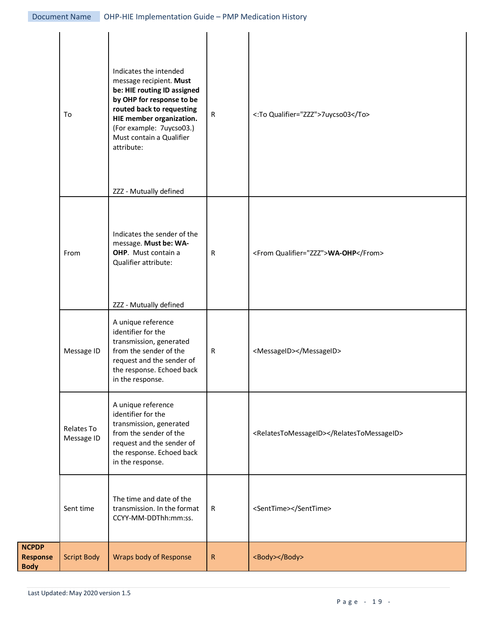|                                                | To                       | Indicates the intended<br>message recipient. Must<br>be: HIE routing ID assigned<br>by OHP for response to be<br>routed back to requesting<br>HIE member organization.<br>(For example: 7uycso03.)<br>Must contain a Qualifier<br>attribute:<br>ZZZ - Mutually defined | ${\sf R}$    | <: To Qualifier="ZZZ">7uycso03            |
|------------------------------------------------|--------------------------|------------------------------------------------------------------------------------------------------------------------------------------------------------------------------------------------------------------------------------------------------------------------|--------------|-------------------------------------------|
|                                                | From                     | Indicates the sender of the<br>message. Must be: WA-<br>OHP. Must contain a<br>Qualifier attribute:<br>ZZZ - Mutually defined                                                                                                                                          | $\mathsf{R}$ | <from qualifier="ZZZ">WA-OHP</from>       |
|                                                | Message ID               | A unique reference<br>identifier for the<br>transmission, generated<br>from the sender of the<br>request and the sender of<br>the response. Echoed back<br>in the response.                                                                                            | $\mathsf R$  | <messageid></messageid>                   |
|                                                | Relates To<br>Message ID | A unique reference<br>identifier for the<br>transmission, generated<br>from the sender of the<br>request and the sender of<br>the response. Echoed back<br>in the response.                                                                                            |              | <relatestomessageid></relatestomessageid> |
|                                                | Sent time                | The time and date of the<br>transmission. In the format<br>CCYY-MM-DDThh:mm:ss.                                                                                                                                                                                        | $\mathsf R$  | <senttime></senttime>                     |
| <b>NCPDP</b><br><b>Response</b><br><b>Body</b> | <b>Script Body</b>       | <b>Wraps body of Response</b>                                                                                                                                                                                                                                          | $\mathsf{R}$ | <body></body>                             |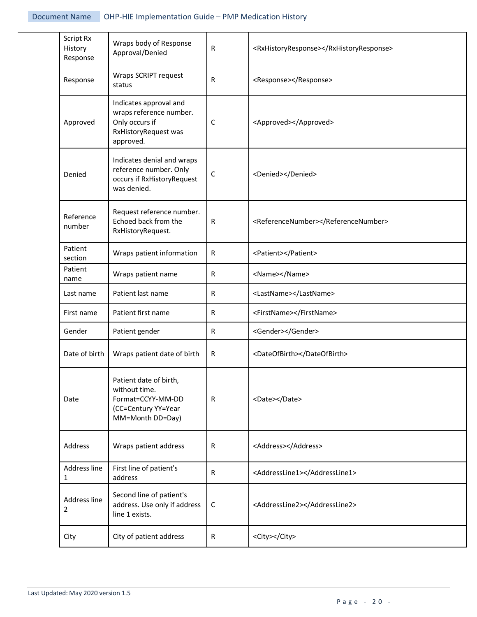| Script Rx<br>History<br>Response | Wraps body of Response<br>Approval/Denied                                                                | R            | <rxhistoryresponse></rxhistoryresponse> |
|----------------------------------|----------------------------------------------------------------------------------------------------------|--------------|-----------------------------------------|
| Response                         | Wraps SCRIPT request<br>status                                                                           | R            | <response></response>                   |
| Approved                         | Indicates approval and<br>wraps reference number.<br>Only occurs if<br>RxHistoryRequest was<br>approved. | C            | <approved></approved>                   |
| Denied                           | Indicates denial and wraps<br>reference number. Only<br>occurs if RxHistoryRequest<br>was denied.        | $\mathsf C$  | <denied></denied>                       |
| Reference<br>number              | Request reference number.<br>Echoed back from the<br>RxHistoryRequest.                                   | $\mathsf{R}$ | <referencenumber></referencenumber>     |
| Patient<br>section               | Wraps patient information                                                                                | R            | <patient></patient>                     |
| Patient<br>name                  | Wraps patient name                                                                                       | R            | <name></name>                           |
| Last name                        | Patient last name                                                                                        | R            | <lastname></lastname>                   |
| First name                       | Patient first name                                                                                       | ${\sf R}$    | <firstname></firstname>                 |
| Gender                           | Patient gender                                                                                           | ${\sf R}$    | <gender></gender>                       |
| Date of birth                    | Wraps patient date of birth                                                                              | R            | <dateofbirth></dateofbirth>             |
| Date                             | Patient date of birth,<br>without time.<br>Format=CCYY-MM-DD<br>(CC=Century YY=Year<br>MM=Month DD=Day)  | R            | <date></date>                           |
| Address                          | Wraps patient address                                                                                    | R            | <address></address>                     |
| Address line<br>$\mathbf{1}$     | First line of patient's<br>address                                                                       | R            | <addressline1></addressline1>           |
| Address line<br>2                | Second line of patient's<br>address. Use only if address<br>C<br>line 1 exists.                          |              | <addressline2></addressline2>           |
| City                             | City of patient address                                                                                  | R            | <city></city>                           |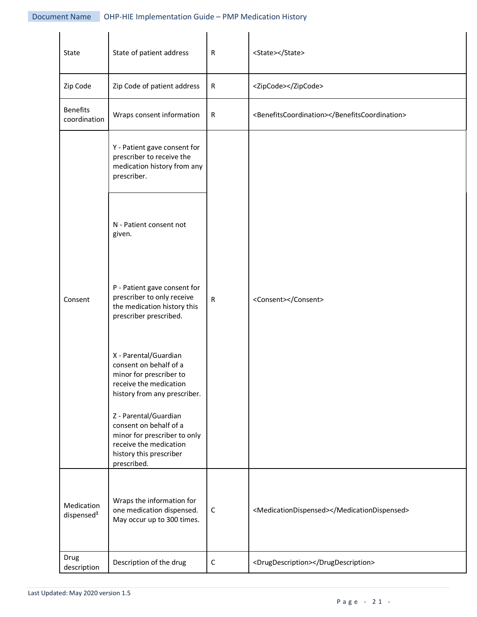| State                                | State of patient address                                                                                                                            | $\mathsf R$  | <state></state>                               |
|--------------------------------------|-----------------------------------------------------------------------------------------------------------------------------------------------------|--------------|-----------------------------------------------|
| Zip Code                             | Zip Code of patient address                                                                                                                         | ${\sf R}$    | <zipcode></zipcode>                           |
| <b>Benefits</b><br>coordination      | Wraps consent information                                                                                                                           | ${\sf R}$    | <benefitscoordination></benefitscoordination> |
|                                      | Y - Patient gave consent for<br>prescriber to receive the<br>medication history from any<br>prescriber.                                             |              |                                               |
|                                      | N - Patient consent not<br>given.                                                                                                                   |              |                                               |
| Consent                              | P - Patient gave consent for<br>prescriber to only receive<br>the medication history this<br>prescriber prescribed.                                 | ${\sf R}$    | <consent></consent>                           |
|                                      | X - Parental/Guardian<br>consent on behalf of a<br>minor for prescriber to<br>receive the medication<br>history from any prescriber.                |              |                                               |
|                                      | Z - Parental/Guardian<br>consent on behalf of a<br>minor for prescriber to only<br>receive the medication<br>history this prescriber<br>prescribed. |              |                                               |
| Medication<br>dispensed <sup>1</sup> | Wraps the information for<br>one medication dispensed.<br>May occur up to 300 times.                                                                | $\mathsf{C}$ | <medicationdispensed></medicationdispensed>   |
| Drug<br>description                  | Description of the drug<br>$\mathsf C$                                                                                                              |              | <drugdescription></drugdescription>           |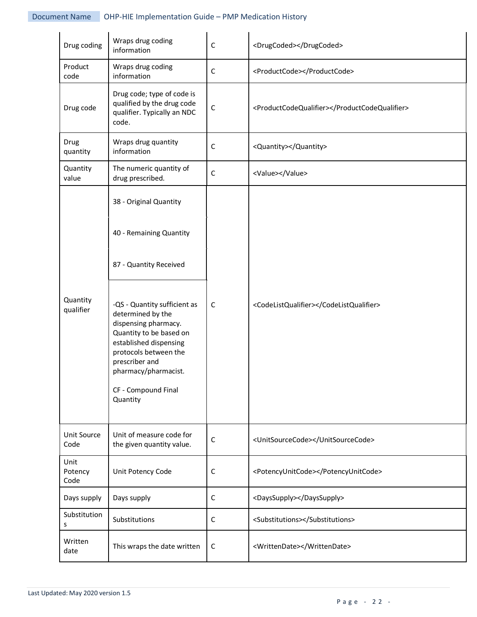| Drug coding             | Wraps drug coding<br>$\mathsf C$<br>information                                                                                                                                                                                                                                                                     |             | <drugcoded></drugcoded>                       |
|-------------------------|---------------------------------------------------------------------------------------------------------------------------------------------------------------------------------------------------------------------------------------------------------------------------------------------------------------------|-------------|-----------------------------------------------|
| Product<br>code         | Wraps drug coding<br>information                                                                                                                                                                                                                                                                                    | $\mathsf C$ | <productcode></productcode>                   |
| Drug code               | Drug code; type of code is<br>qualified by the drug code<br>qualifier. Typically an NDC<br>code.                                                                                                                                                                                                                    | $\mathsf C$ | <productcodequalifier></productcodequalifier> |
| Drug<br>quantity        | Wraps drug quantity<br>information                                                                                                                                                                                                                                                                                  | $\mathsf C$ | <quantity></quantity>                         |
| Quantity<br>value       | The numeric quantity of<br>drug prescribed.                                                                                                                                                                                                                                                                         | $\mathsf C$ | <value></value>                               |
| Quantity<br>qualifier   | 38 - Original Quantity<br>40 - Remaining Quantity<br>87 - Quantity Received<br>-QS - Quantity sufficient as<br>determined by the<br>dispensing pharmacy.<br>Quantity to be based on<br>established dispensing<br>protocols between the<br>prescriber and<br>pharmacy/pharmacist.<br>CF - Compound Final<br>Quantity | $\mathsf C$ | <codelistqualifier></codelistqualifier>       |
| Unit Source<br>Code     | Unit of measure code for<br>the given quantity value.                                                                                                                                                                                                                                                               | $\mathsf C$ | <unitsourcecode></unitsourcecode>             |
| Unit<br>Potency<br>Code | Unit Potency Code<br>C                                                                                                                                                                                                                                                                                              |             | <potencyunitcode></potencyunitcode>           |
| Days supply             | Days supply                                                                                                                                                                                                                                                                                                         | $\mathsf C$ | <dayssupply></dayssupply>                     |
| Substitution<br>S       | Substitutions<br>$\mathsf C$                                                                                                                                                                                                                                                                                        |             | <substitutions></substitutions>               |
| Written<br>date         | This wraps the date written<br><writtendate></writtendate><br>C                                                                                                                                                                                                                                                     |             |                                               |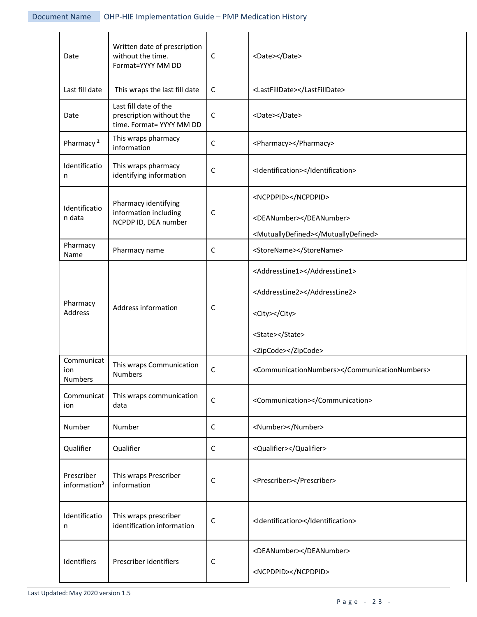| Date                                   | Written date of prescription<br>without the time.<br>Format=YYYY MM DD        | C           | <date></date>                                  |
|----------------------------------------|-------------------------------------------------------------------------------|-------------|------------------------------------------------|
| Last fill date                         | This wraps the last fill date                                                 | $\mathsf C$ | <lastfilldate></lastfilldate>                  |
| Date                                   | Last fill date of the<br>prescription without the<br>time. Format= YYYY MM DD | $\mathsf C$ | <date></date>                                  |
| Pharmacy <sup>2</sup>                  | This wraps pharmacy<br>information                                            | $\mathsf C$ | <pharmacy></pharmacy>                          |
| Identificatio<br>n                     | This wraps pharmacy<br>identifying information                                | С           | <identification></identification>              |
| Identificatio                          | Pharmacy identifying                                                          |             | <ncpdpid></ncpdpid>                            |
| n data                                 | information including<br>NCPDP ID, DEA number                                 | С           | <deanumber></deanumber>                        |
|                                        |                                                                               |             | <mutuallydefined></mutuallydefined>            |
| Pharmacy<br>Name                       | Pharmacy name                                                                 | C           | <storename></storename>                        |
|                                        | Address information                                                           |             | <addressline1></addressline1>                  |
|                                        |                                                                               | С           | <addressline2></addressline2>                  |
| Pharmacy<br>Address                    |                                                                               |             | <city></city>                                  |
|                                        |                                                                               |             | <state></state>                                |
| Communicat                             |                                                                               |             | <zipcode></zipcode>                            |
| ion<br><b>Numbers</b>                  | This wraps Communication<br>$\mathsf C$<br>Numbers                            |             | <communicationnumbers></communicationnumbers>  |
| Communicat<br>ion                      | This wraps communication<br>data                                              | $\mathsf C$ | <communication></communication>                |
| Number                                 | Number                                                                        | $\mathsf C$ | <number></number>                              |
| Qualifier                              | Qualifier                                                                     | $\mathsf C$ | <qualifier></qualifier>                        |
| Prescriber<br>information <sup>3</sup> | This wraps Prescriber<br>information                                          | $\mathsf C$ | <prescriber></prescriber>                      |
| Identificatio<br>n                     | This wraps prescriber<br>identification information                           | С           | <identification></identification>              |
| Identifiers                            | Prescriber identifiers                                                        | С           | <deanumber></deanumber><br><ncpdpid></ncpdpid> |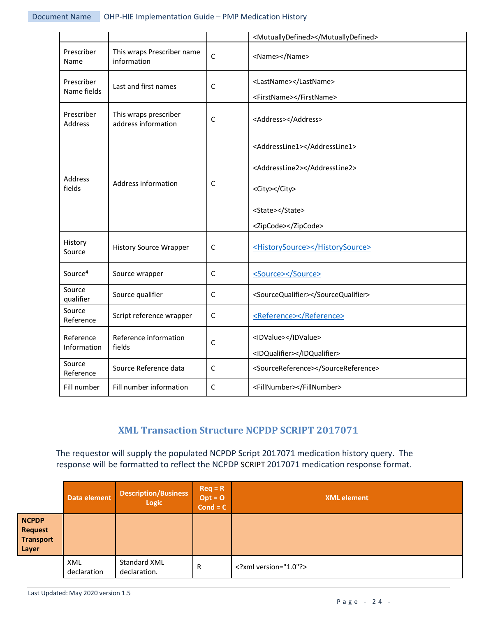|                           |                                              |              | <mutuallydefined></mutuallydefined>                                                                                       |
|---------------------------|----------------------------------------------|--------------|---------------------------------------------------------------------------------------------------------------------------|
| Prescriber<br>Name        | This wraps Prescriber name<br>information    | $\mathsf{C}$ | <name></name>                                                                                                             |
| Prescriber<br>Name fields | Last and first names                         | $\mathsf{C}$ | <lastname></lastname><br><firstname></firstname>                                                                          |
| Prescriber<br>Address     | This wraps prescriber<br>address information | $\mathsf{C}$ | <address></address>                                                                                                       |
| Address<br>fields         | Address information                          | C            | <addressline1></addressline1><br><addressline2></addressline2><br><city></city><br><state></state><br><zipcode></zipcode> |
| History<br>Source         | <b>History Source Wrapper</b>                | $\mathsf{C}$ | <historysource></historysource>                                                                                           |
| Source <sup>4</sup>       | Source wrapper                               | $\mathsf C$  | <source/>                                                                                                                 |
| Source<br>qualifier       | Source qualifier                             | $\mathsf C$  | <sourcequalifier></sourcequalifier>                                                                                       |
| Source<br>Reference       | Script reference wrapper                     | $\mathsf C$  | <reference></reference>                                                                                                   |
| Reference<br>Information  | Reference information<br>fields              | $\mathsf{C}$ | <idvalue></idvalue><br><idqualifier></idqualifier>                                                                        |
| Source<br>Reference       | Source Reference data                        | $\mathsf C$  | <sourcereference></sourcereference>                                                                                       |
| Fill number               | Fill number information                      | $\mathsf C$  | <fillnumber></fillnumber>                                                                                                 |

# **XML Transaction Structure NCPDP SCRIPT 2017071**

The requestor will supply the populated NCPDP Script 2017071 medication history query. The response will be formatted to reflect the NCPDP SCRIPT 2017071 medication response format.

|                                                             | Data element       | <b>Description/Business</b><br><b>Logic</b> | $Req = R$<br>$Opt = 0$<br>$Cond = C$ | <b>XML</b> element |
|-------------------------------------------------------------|--------------------|---------------------------------------------|--------------------------------------|--------------------|
| <b>NCPDP</b><br><b>Request</b><br><b>Transport</b><br>Layer |                    |                                             |                                      |                    |
|                                                             | XML<br>declaration | Standard XML<br>declaration.                | R                                    | xml version="1.0"? |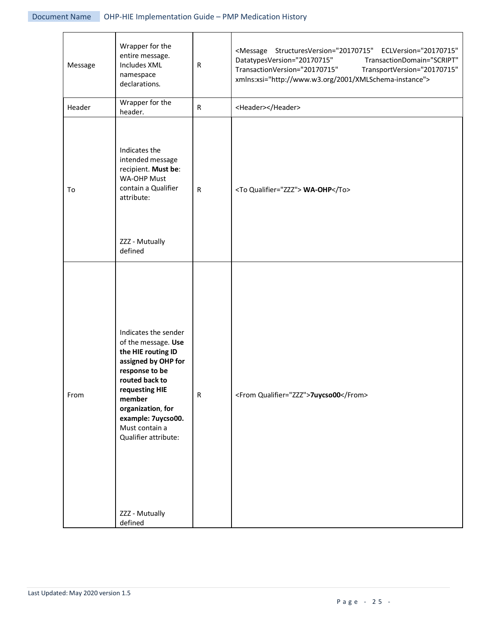| Message | Wrapper for the<br>entire message.<br><b>Includes XML</b><br>namespace<br>declarations.                                                                                                                                                                                    | ${\sf R}$    | <message <br="" eclversion="20170715" structuresversion="20170715">DatatypesVersion="20170715"<br/>TransactionDomain="SCRIPT"<br/>TransactionVersion="20170715"<br/>TransportVersion="20170715"<br/>xmlns:xsi="http://www.w3.org/2001/XMLSchema-instance"&gt;</message> |
|---------|----------------------------------------------------------------------------------------------------------------------------------------------------------------------------------------------------------------------------------------------------------------------------|--------------|-------------------------------------------------------------------------------------------------------------------------------------------------------------------------------------------------------------------------------------------------------------------------|
| Header  | Wrapper for the<br>header.                                                                                                                                                                                                                                                 | $\mathsf{R}$ | <header></header>                                                                                                                                                                                                                                                       |
| To      | Indicates the<br>intended message<br>recipient. Must be:<br><b>WA-OHP Must</b><br>contain a Qualifier<br>attribute:<br>ZZZ - Mutually<br>defined                                                                                                                           | ${\sf R}$    | <to qualifier="ZZZ"> WA-OHP</to>                                                                                                                                                                                                                                        |
| From    | Indicates the sender<br>of the message. Use<br>the HIE routing ID<br>assigned by OHP for<br>response to be<br>routed back to<br>requesting HIE<br>member<br>organization, for<br>example: 7uycso00.<br>Must contain a<br>Qualifier attribute:<br>ZZZ - Mutually<br>defined | ${\sf R}$    | <from qualifier="ZZZ">7uycso00</from>                                                                                                                                                                                                                                   |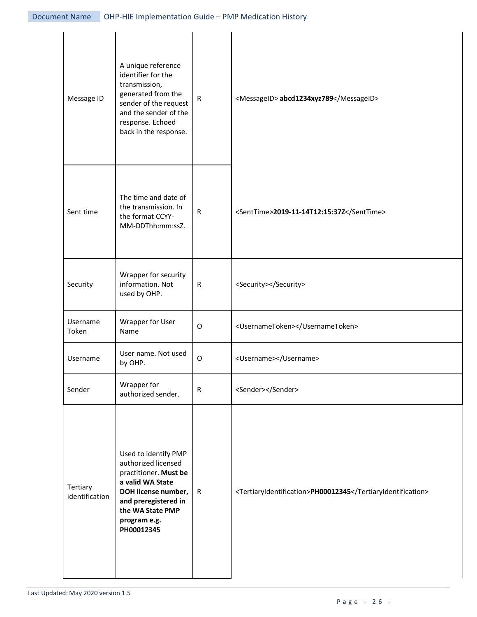| Message ID                 | A unique reference<br>identifier for the<br>transmission,<br>generated from the<br>sender of the request<br>and the sender of the<br>response. Echoed<br>back in the response.            | ${\sf R}$    | <messageid> abcd1234xyz789</messageid>                      |
|----------------------------|-------------------------------------------------------------------------------------------------------------------------------------------------------------------------------------------|--------------|-------------------------------------------------------------|
| Sent time                  | The time and date of<br>the transmission. In<br>the format CCYY-<br>MM-DDThh:mm:ssZ.                                                                                                      | ${\sf R}$    | <senttime>2019-11-14T12:15:37Z</senttime>                   |
| Security                   | Wrapper for security<br>information. Not<br>used by OHP.                                                                                                                                  | $\mathsf{R}$ | <security></security>                                       |
| Username<br>Token          | Wrapper for User<br>Name                                                                                                                                                                  | O            | <usernametoken></usernametoken>                             |
| Username                   | User name. Not used<br>by OHP.                                                                                                                                                            | O            | <username></username>                                       |
| Sender                     | Wrapper for<br>authorized sender.                                                                                                                                                         | $\mathsf{R}$ | <sender></sender>                                           |
| Tertiary<br>identification | Used to identify PMP<br>authorized licensed<br>practitioner. Must be<br>a valid WA State<br>DOH license number,<br>and preregistered in<br>the WA State PMP<br>program e.g.<br>PH00012345 | $\mathsf R$  | <tertiaryidentification>PH00012345</tertiaryidentification> |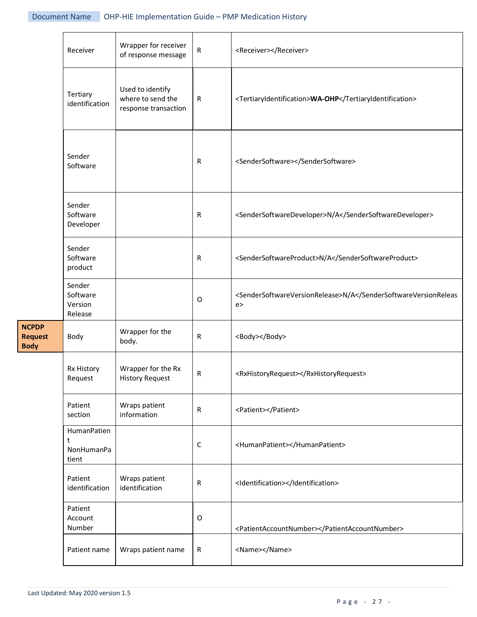|                                               | Receiver                                 | Wrapper for receiver<br>of response message                   | ${\sf R}$   | <receiver></receiver>                                             |
|-----------------------------------------------|------------------------------------------|---------------------------------------------------------------|-------------|-------------------------------------------------------------------|
|                                               | Tertiary<br>identification               | Used to identify<br>where to send the<br>response transaction | ${\sf R}$   | <tertiaryidentification>WA-OHP</tertiaryidentification>           |
|                                               | Sender<br>Software                       |                                                               | R           | <sendersoftware></sendersoftware>                                 |
|                                               | Sender<br>Software<br>Developer          |                                                               | R           | <sendersoftwaredeveloper>N/A</sendersoftwaredeveloper>            |
| <b>NCPDP</b><br><b>Request</b><br><b>Body</b> | Sender<br>Software<br>product            |                                                               | R           | <sendersoftwareproduct>N/A</sendersoftwareproduct>                |
|                                               | Sender<br>Software<br>Version<br>Release |                                                               | $\circ$     | <sendersoftwareversionrelease>N/Ae</sendersoftwareversionrelease> |
|                                               | Body                                     | Wrapper for the<br>body.                                      | R           | <body></body>                                                     |
|                                               | Rx History<br>Request                    | Wrapper for the Rx<br><b>History Request</b>                  | R           | <rxhistoryrequest></rxhistoryrequest>                             |
|                                               | Patient<br>section                       | Wraps patient<br>information                                  | $\mathsf R$ | <patient></patient>                                               |
|                                               | HumanPatien<br>t<br>NonHumanPa<br>tient  |                                                               | $\mathsf C$ | <humanpatient></humanpatient>                                     |
|                                               | Patient<br>identification                | Wraps patient<br>identification                               | ${\sf R}$   | <identification></identification>                                 |
|                                               | Patient<br>Account<br>Number             |                                                               | $\mathsf O$ | <patientaccountnumber></patientaccountnumber>                     |
|                                               | Patient name                             | Wraps patient name                                            | R           | <name></name>                                                     |